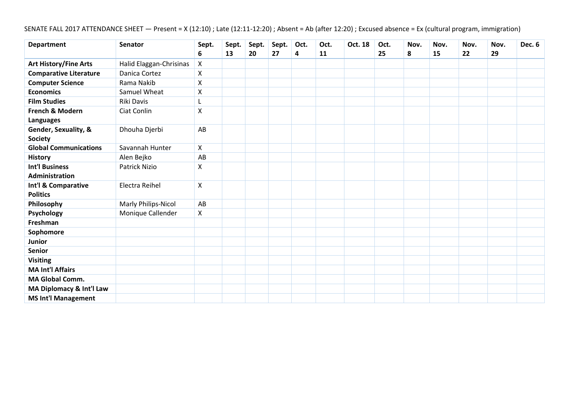# SENATE FALL 2017 ATTENDANCE SHEET — Present = X (12:10) ; Late (12:11-12:20) ; Absent = Ab (after 12:20) ; Excused absence = Ex (cultural program, immigration)

| <b>Department</b>                      | <b>Senator</b>          | Sept.<br>6         | Sept.<br>13 | Sept.<br>20 | Sept.<br>27 | Oct.<br>4 | Oct.<br>11 | Oct. 18 | Oct.<br>25 | Nov.<br>8 | Nov.<br>15 | Nov.<br>22 | Nov.<br>29 | <b>Dec. 6</b> |
|----------------------------------------|-------------------------|--------------------|-------------|-------------|-------------|-----------|------------|---------|------------|-----------|------------|------------|------------|---------------|
| <b>Art History/Fine Arts</b>           | Halid Elaggan-Chrisinas | X                  |             |             |             |           |            |         |            |           |            |            |            |               |
| <b>Comparative Literature</b>          | Danica Cortez           | X                  |             |             |             |           |            |         |            |           |            |            |            |               |
|                                        | Rama Nakib              | X                  |             |             |             |           |            |         |            |           |            |            |            |               |
| <b>Computer Science</b>                |                         |                    |             |             |             |           |            |         |            |           |            |            |            |               |
| <b>Economics</b>                       | Samuel Wheat            | X                  |             |             |             |           |            |         |            |           |            |            |            |               |
| <b>Film Studies</b>                    | <b>Riki Davis</b>       | L                  |             |             |             |           |            |         |            |           |            |            |            |               |
| French & Modern<br><b>Languages</b>    | Ciat Conlin             | X                  |             |             |             |           |            |         |            |           |            |            |            |               |
| Gender, Sexuality, &<br><b>Society</b> | Dhouha Djerbi           | AB                 |             |             |             |           |            |         |            |           |            |            |            |               |
| <b>Global Communications</b>           | Savannah Hunter         | X                  |             |             |             |           |            |         |            |           |            |            |            |               |
| <b>History</b>                         | Alen Bejko              | AB                 |             |             |             |           |            |         |            |           |            |            |            |               |
| <b>Int'l Business</b>                  | Patrick Nizio           | $\pmb{\mathsf{X}}$ |             |             |             |           |            |         |            |           |            |            |            |               |
| Administration                         |                         |                    |             |             |             |           |            |         |            |           |            |            |            |               |
| Int'l & Comparative                    | Electra Reihel          | X                  |             |             |             |           |            |         |            |           |            |            |            |               |
| <b>Politics</b>                        |                         |                    |             |             |             |           |            |         |            |           |            |            |            |               |
| Philosophy                             | Marly Philips-Nicol     | AB                 |             |             |             |           |            |         |            |           |            |            |            |               |
| Psychology                             | Monique Callender       | X                  |             |             |             |           |            |         |            |           |            |            |            |               |
| Freshman                               |                         |                    |             |             |             |           |            |         |            |           |            |            |            |               |
| Sophomore                              |                         |                    |             |             |             |           |            |         |            |           |            |            |            |               |
| Junior                                 |                         |                    |             |             |             |           |            |         |            |           |            |            |            |               |
| <b>Senior</b>                          |                         |                    |             |             |             |           |            |         |            |           |            |            |            |               |
| <b>Visiting</b>                        |                         |                    |             |             |             |           |            |         |            |           |            |            |            |               |
| <b>MA Int'l Affairs</b>                |                         |                    |             |             |             |           |            |         |            |           |            |            |            |               |
| <b>MA Global Comm.</b>                 |                         |                    |             |             |             |           |            |         |            |           |            |            |            |               |
| MA Diplomacy & Int'l Law               |                         |                    |             |             |             |           |            |         |            |           |            |            |            |               |
| <b>MS Int'l Management</b>             |                         |                    |             |             |             |           |            |         |            |           |            |            |            |               |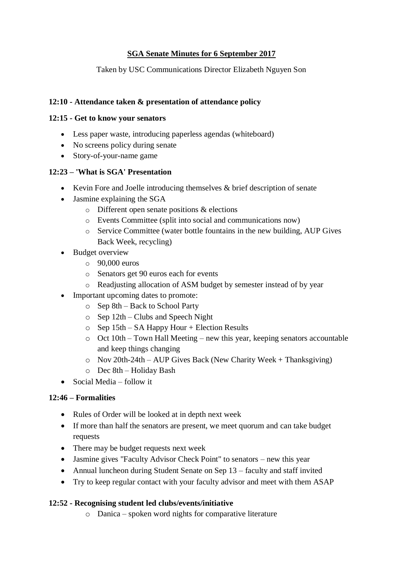## **SGA Senate Minutes for 6 September 2017**

Taken by USC Communications Director Elizabeth Nguyen Son

### **12:10 - Attendance taken & presentation of attendance policy**

#### **12:15 - Get to know your senators**

- Less paper waste, introducing paperless agendas (whiteboard)
- No screens policy during senate
- Story-of-your-name game

#### **12:23 – 'What is SGA' Presentation**

- Kevin Fore and Joelle introducing themselves & brief description of senate
- Jasmine explaining the SGA
	- o Different open senate positions & elections
	- o Events Committee (split into social and communications now)
	- o Service Committee (water bottle fountains in the new building, AUP Gives Back Week, recycling)
- Budget overview
	- o 90,000 euros
	- o Senators get 90 euros each for events
	- o Readjusting allocation of ASM budget by semester instead of by year
- Important upcoming dates to promote:
	- o Sep 8th Back to School Party
	- o Sep 12th Clubs and Speech Night
	- $\circ$  Sep 15th SA Happy Hour + Election Results
	- o Oct 10th Town Hall Meeting new this year, keeping senators accountable and keep things changing
	- $\circ$  Nov 20th-24th AUP Gives Back (New Charity Week + Thanksgiving)
	- o Dec 8th Holiday Bash
- Social Media follow it

#### **12:46 – Formalities**

- Rules of Order will be looked at in depth next week
- If more than half the senators are present, we meet quorum and can take budget requests
- There may be budget requests next week
- Jasmine gives "Faculty Advisor Check Point" to senators new this year
- Annual luncheon during Student Senate on Sep 13 faculty and staff invited
- Try to keep regular contact with your faculty advisor and meet with them ASAP

#### **12:52 - Recognising student led clubs/events/initiative**

o Danica – spoken word nights for comparative literature